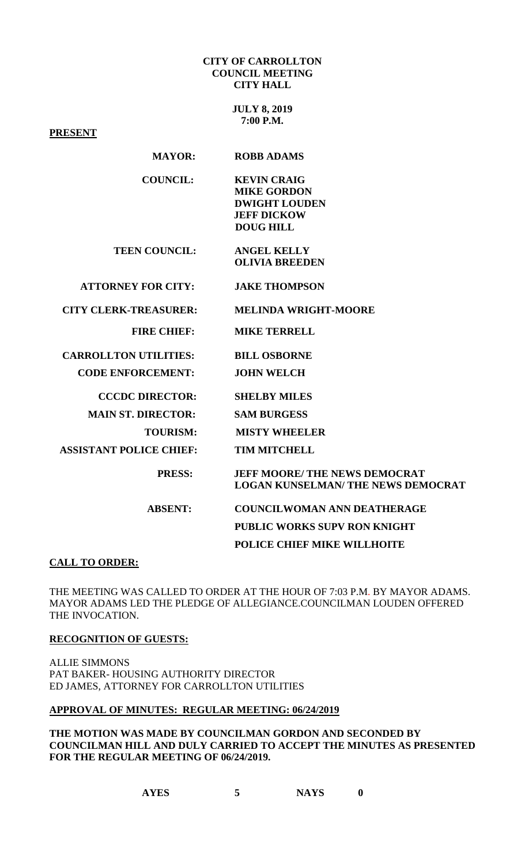#### **CITY OF CARROLLTON COUNCIL MEETING CITY HALL**

**JULY 8, 2019 7:00 P.M.**

**PRESENT**

# **MAYOR: ROBB ADAMS**

| <b>COUNCIL:</b> | <b>KEVIN CRAIG</b>   |
|-----------------|----------------------|
|                 | <b>MIKE GORDON</b>   |
|                 | <b>DWIGHT LOUDEN</b> |
|                 | <b>JEFF DICKOW</b>   |
|                 | DOUG HILL            |

**TEEN COUNCIL: ANGEL KELLY OLIVIA BREEDEN** 

**ATTORNEY FOR CITY: JAKE THOMPSON**

 **CITY CLERK-TREASURER: MELINDA WRIGHT-MOORE**

 **FIRE CHIEF: MIKE TERRELL**

 **CARROLLTON UTILITIES: BILL OSBORNE**

 **CODE ENFORCEMENT: JOHN WELCH**

 **CCCDC DIRECTOR: SHELBY MILES** 

 **MAIN ST. DIRECTOR: SAM BURGESS** 

 **TOURISM: MISTY WHEELER** 

 **ASSISTANT POLICE CHIEF: TIM MITCHELL** 

 **PRESS: JEFF MOORE/ THE NEWS DEMOCRAT LOGAN KUNSELMAN/ THE NEWS DEMOCRAT**

 **ABSENT: COUNCILWOMAN ANN DEATHERAGE PUBLIC WORKS SUPV RON KNIGHT POLICE CHIEF MIKE WILLHOITE**

# **CALL TO ORDER:**

THE MEETING WAS CALLED TO ORDER AT THE HOUR OF 7:03 P.M. BY MAYOR ADAMS. MAYOR ADAMS LED THE PLEDGE OF ALLEGIANCE.COUNCILMAN LOUDEN OFFERED THE INVOCATION.

# **RECOGNITION OF GUESTS:**

ALLIE SIMMONS PAT BAKER- HOUSING AUTHORITY DIRECTOR ED JAMES, ATTORNEY FOR CARROLLTON UTILITIES

**APPROVAL OF MINUTES: REGULAR MEETING: 06/24/2019**

**THE MOTION WAS MADE BY COUNCILMAN GORDON AND SECONDED BY COUNCILMAN HILL AND DULY CARRIED TO ACCEPT THE MINUTES AS PRESENTED FOR THE REGULAR MEETING OF 06/24/2019.**

**AYES 5 NAYS 0**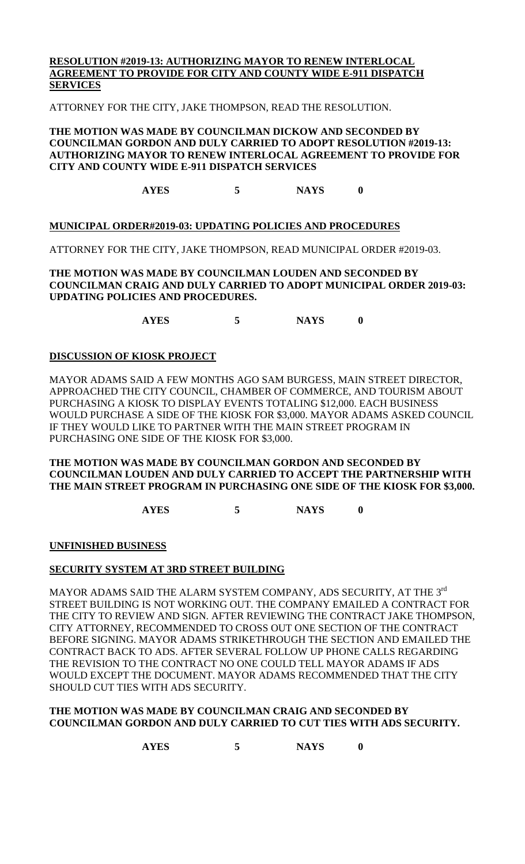# **RESOLUTION #2019-13: AUTHORIZING MAYOR TO RENEW INTERLOCAL AGREEMENT TO PROVIDE FOR CITY AND COUNTY WIDE E-911 DISPATCH SERVICES**

ATTORNEY FOR THE CITY, JAKE THOMPSON, READ THE RESOLUTION.

#### **THE MOTION WAS MADE BY COUNCILMAN DICKOW AND SECONDED BY COUNCILMAN GORDON AND DULY CARRIED TO ADOPT RESOLUTION #2019-13: AUTHORIZING MAYOR TO RENEW INTERLOCAL AGREEMENT TO PROVIDE FOR CITY AND COUNTY WIDE E-911 DISPATCH SERVICES**

**AYES 5 NAYS 0**

# **MUNICIPAL ORDER#2019-03: UPDATING POLICIES AND PROCEDURES**

ATTORNEY FOR THE CITY, JAKE THOMPSON, READ MUNICIPAL ORDER #2019-03.

# **THE MOTION WAS MADE BY COUNCILMAN LOUDEN AND SECONDED BY COUNCILMAN CRAIG AND DULY CARRIED TO ADOPT MUNICIPAL ORDER 2019-03: UPDATING POLICIES AND PROCEDURES.**

**AYES 5 NAYS 0**

# **DISCUSSION OF KIOSK PROJECT**

MAYOR ADAMS SAID A FEW MONTHS AGO SAM BURGESS, MAIN STREET DIRECTOR, APPROACHED THE CITY COUNCIL, CHAMBER OF COMMERCE, AND TOURISM ABOUT PURCHASING A KIOSK TO DISPLAY EVENTS TOTALING \$12,000. EACH BUSINESS WOULD PURCHASE A SIDE OF THE KIOSK FOR \$3,000. MAYOR ADAMS ASKED COUNCIL IF THEY WOULD LIKE TO PARTNER WITH THE MAIN STREET PROGRAM IN PURCHASING ONE SIDE OF THE KIOSK FOR \$3,000.

# **THE MOTION WAS MADE BY COUNCILMAN GORDON AND SECONDED BY COUNCILMAN LOUDEN AND DULY CARRIED TO ACCEPT THE PARTNERSHIP WITH THE MAIN STREET PROGRAM IN PURCHASING ONE SIDE OF THE KIOSK FOR \$3,000.**

**AYES 5 NAYS 0**

# **UNFINISHED BUSINESS**

# **SECURITY SYSTEM AT 3RD STREET BUILDING**

MAYOR ADAMS SAID THE ALARM SYSTEM COMPANY, ADS SECURITY, AT THE 3rd STREET BUILDING IS NOT WORKING OUT. THE COMPANY EMAILED A CONTRACT FOR THE CITY TO REVIEW AND SIGN. AFTER REVIEWING THE CONTRACT JAKE THOMPSON, CITY ATTORNEY, RECOMMENDED TO CROSS OUT ONE SECTION OF THE CONTRACT BEFORE SIGNING. MAYOR ADAMS STRIKETHROUGH THE SECTION AND EMAILED THE CONTRACT BACK TO ADS. AFTER SEVERAL FOLLOW UP PHONE CALLS REGARDING THE REVISION TO THE CONTRACT NO ONE COULD TELL MAYOR ADAMS IF ADS WOULD EXCEPT THE DOCUMENT. MAYOR ADAMS RECOMMENDED THAT THE CITY SHOULD CUT TIES WITH ADS SECURITY.

# **THE MOTION WAS MADE BY COUNCILMAN CRAIG AND SECONDED BY COUNCILMAN GORDON AND DULY CARRIED TO CUT TIES WITH ADS SECURITY.**

**AYES 5 NAYS 0**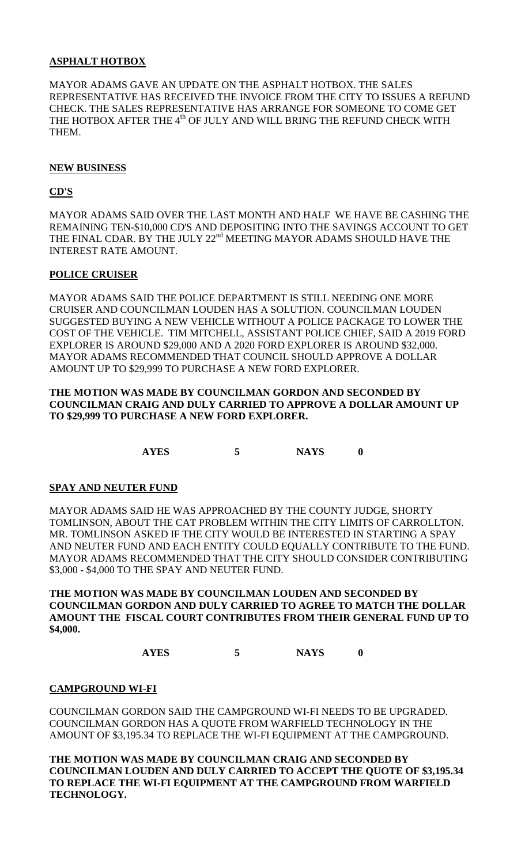# **ASPHALT HOTBOX**

MAYOR ADAMS GAVE AN UPDATE ON THE ASPHALT HOTBOX. THE SALES REPRESENTATIVE HAS RECEIVED THE INVOICE FROM THE CITY TO ISSUES A REFUND CHECK. THE SALES REPRESENTATIVE HAS ARRANGE FOR SOMEONE TO COME GET THE HOTBOX AFTER THE 4<sup>th</sup> OF JULY AND WILL BRING THE REFUND CHECK WITH THEM.

# **NEW BUSINESS**

# **CD'S**

MAYOR ADAMS SAID OVER THE LAST MONTH AND HALF WE HAVE BE CASHING THE REMAINING TEN-\$10,000 CD'S AND DEPOSITING INTO THE SAVINGS ACCOUNT TO GET THE FINAL CDAR. BY THE JULY 22<sup>nd</sup> MEETING MAYOR ADAMS SHOULD HAVE THE INTEREST RATE AMOUNT.

# **POLICE CRUISER**

MAYOR ADAMS SAID THE POLICE DEPARTMENT IS STILL NEEDING ONE MORE CRUISER AND COUNCILMAN LOUDEN HAS A SOLUTION. COUNCILMAN LOUDEN SUGGESTED BUYING A NEW VEHICLE WITHOUT A POLICE PACKAGE TO LOWER THE COST OF THE VEHICLE. TIM MITCHELL, ASSISTANT POLICE CHIEF, SAID A 2019 FORD EXPLORER IS AROUND \$29,000 AND A 2020 FORD EXPLORER IS AROUND \$32,000. MAYOR ADAMS RECOMMENDED THAT COUNCIL SHOULD APPROVE A DOLLAR AMOUNT UP TO \$29,999 TO PURCHASE A NEW FORD EXPLORER.

# **THE MOTION WAS MADE BY COUNCILMAN GORDON AND SECONDED BY COUNCILMAN CRAIG AND DULY CARRIED TO APPROVE A DOLLAR AMOUNT UP TO \$29,999 TO PURCHASE A NEW FORD EXPLORER.**

**AYES 5 NAYS 0**

# **SPAY AND NEUTER FUND**

MAYOR ADAMS SAID HE WAS APPROACHED BY THE COUNTY JUDGE, SHORTY TOMLINSON, ABOUT THE CAT PROBLEM WITHIN THE CITY LIMITS OF CARROLLTON. MR. TOMLINSON ASKED IF THE CITY WOULD BE INTERESTED IN STARTING A SPAY AND NEUTER FUND AND EACH ENTITY COULD EQUALLY CONTRIBUTE TO THE FUND. MAYOR ADAMS RECOMMENDED THAT THE CITY SHOULD CONSIDER CONTRIBUTING \$3,000 - \$4,000 TO THE SPAY AND NEUTER FUND.

**THE MOTION WAS MADE BY COUNCILMAN LOUDEN AND SECONDED BY COUNCILMAN GORDON AND DULY CARRIED TO AGREE TO MATCH THE DOLLAR AMOUNT THE FISCAL COURT CONTRIBUTES FROM THEIR GENERAL FUND UP TO \$4,000.**

**AYES 5 NAYS 0**

# **CAMPGROUND WI-FI**

COUNCILMAN GORDON SAID THE CAMPGROUND WI-FI NEEDS TO BE UPGRADED. COUNCILMAN GORDON HAS A QUOTE FROM WARFIELD TECHNOLOGY IN THE AMOUNT OF \$3,195.34 TO REPLACE THE WI-FI EQUIPMENT AT THE CAMPGROUND.

**THE MOTION WAS MADE BY COUNCILMAN CRAIG AND SECONDED BY COUNCILMAN LOUDEN AND DULY CARRIED TO ACCEPT THE QUOTE OF \$3,195.34 TO REPLACE THE WI-FI EQUIPMENT AT THE CAMPGROUND FROM WARFIELD TECHNOLOGY.**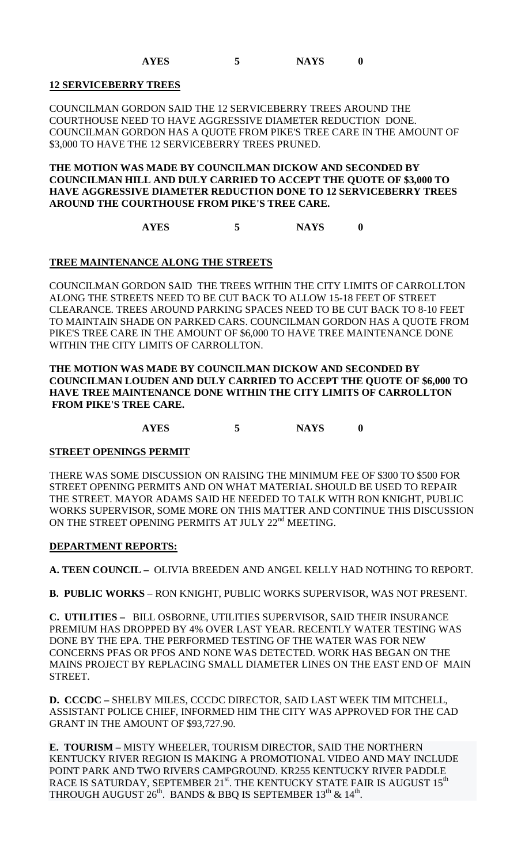# **12 SERVICEBERRY TREES**

COUNCILMAN GORDON SAID THE 12 SERVICEBERRY TREES AROUND THE COURTHOUSE NEED TO HAVE AGGRESSIVE DIAMETER REDUCTION DONE. COUNCILMAN GORDON HAS A QUOTE FROM PIKE'S TREE CARE IN THE AMOUNT OF \$3,000 TO HAVE THE 12 SERVICEBERRY TREES PRUNED.

# **THE MOTION WAS MADE BY COUNCILMAN DICKOW AND SECONDED BY COUNCILMAN HILL AND DULY CARRIED TO ACCEPT THE QUOTE OF \$3,000 TO HAVE AGGRESSIVE DIAMETER REDUCTION DONE TO 12 SERVICEBERRY TREES AROUND THE COURTHOUSE FROM PIKE'S TREE CARE.**

**AYES 5 NAYS 0**

# **TREE MAINTENANCE ALONG THE STREETS**

COUNCILMAN GORDON SAID THE TREES WITHIN THE CITY LIMITS OF CARROLLTON ALONG THE STREETS NEED TO BE CUT BACK TO ALLOW 15-18 FEET OF STREET CLEARANCE. TREES AROUND PARKING SPACES NEED TO BE CUT BACK TO 8-10 FEET TO MAINTAIN SHADE ON PARKED CARS. COUNCILMAN GORDON HAS A QUOTE FROM PIKE'S TREE CARE IN THE AMOUNT OF \$6,000 TO HAVE TREE MAINTENANCE DONE WITHIN THE CITY LIMITS OF CARROLLTON.

# **THE MOTION WAS MADE BY COUNCILMAN DICKOW AND SECONDED BY COUNCILMAN LOUDEN AND DULY CARRIED TO ACCEPT THE QUOTE OF \$6,000 TO HAVE TREE MAINTENANCE DONE WITHIN THE CITY LIMITS OF CARROLLTON FROM PIKE'S TREE CARE.**

**AYES 5 NAYS 0**

# **STREET OPENINGS PERMIT**

THERE WAS SOME DISCUSSION ON RAISING THE MINIMUM FEE OF \$300 TO \$500 FOR STREET OPENING PERMITS AND ON WHAT MATERIAL SHOULD BE USED TO REPAIR THE STREET. MAYOR ADAMS SAID HE NEEDED TO TALK WITH RON KNIGHT, PUBLIC WORKS SUPERVISOR, SOME MORE ON THIS MATTER AND CONTINUE THIS DISCUSSION ON THE STREET OPENING PERMITS AT JULY 22<sup>nd</sup> MEETING.

# **DEPARTMENT REPORTS:**

**A. TEEN COUNCIL –** OLIVIA BREEDEN AND ANGEL KELLY HAD NOTHING TO REPORT.

**B. PUBLIC WORKS** – RON KNIGHT, PUBLIC WORKS SUPERVISOR, WAS NOT PRESENT.

**C. UTILITIES –** BILL OSBORNE, UTILITIES SUPERVISOR, SAID THEIR INSURANCE PREMIUM HAS DROPPED BY 4% OVER LAST YEAR. RECENTLY WATER TESTING WAS DONE BY THE EPA. THE PERFORMED TESTING OF THE WATER WAS FOR NEW CONCERNS PFAS OR PFOS AND NONE WAS DETECTED. WORK HAS BEGAN ON THE MAINS PROJECT BY REPLACING SMALL DIAMETER LINES ON THE EAST END OF MAIN STREET.

**D. CCCDC –** SHELBY MILES, CCCDC DIRECTOR, SAID LAST WEEK TIM MITCHELL, ASSISTANT POLICE CHIEF, INFORMED HIM THE CITY WAS APPROVED FOR THE CAD GRANT IN THE AMOUNT OF \$93,727.90.

**E. TOURISM –** MISTY WHEELER, TOURISM DIRECTOR, SAID THE NORTHERN KENTUCKY RIVER REGION IS MAKING A PROMOTIONAL VIDEO AND MAY INCLUDE POINT PARK AND TWO RIVERS CAMPGROUND. KR255 KENTUCKY RIVER PADDLE RACE IS SATURDAY, SEPTEMBER 21<sup>st</sup>. THE KENTUCKY STATE FAIR IS AUGUST 15<sup>th</sup> THROUGH AUGUST  $26<sup>th</sup>$ . BANDS & BBQ IS SEPTEMBER  $13<sup>th</sup>$  &  $14<sup>th</sup>$ .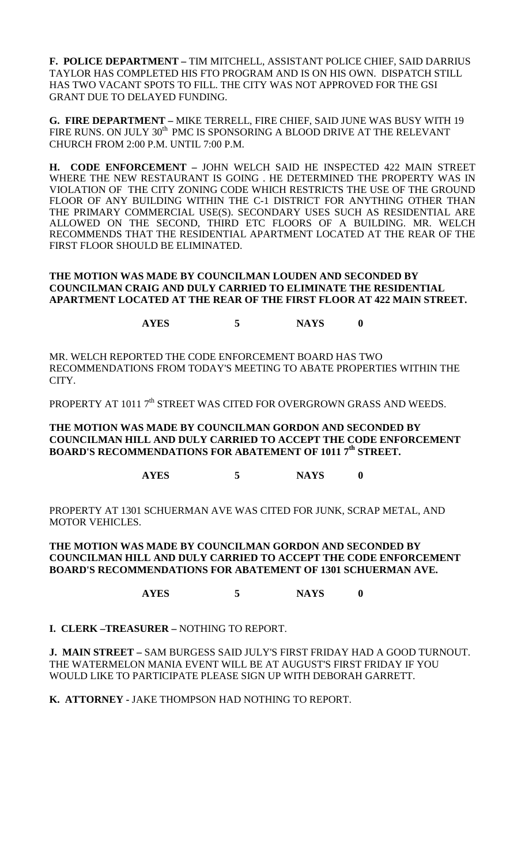**F. POLICE DEPARTMENT –** TIM MITCHELL, ASSISTANT POLICE CHIEF, SAID DARRIUS TAYLOR HAS COMPLETED HIS FTO PROGRAM AND IS ON HIS OWN. DISPATCH STILL HAS TWO VACANT SPOTS TO FILL. THE CITY WAS NOT APPROVED FOR THE GSI GRANT DUE TO DELAYED FUNDING.

**G. FIRE DEPARTMENT –** MIKE TERRELL, FIRE CHIEF, SAID JUNE WAS BUSY WITH 19 FIRE RUNS. ON JULY 30<sup>th</sup> PMC IS SPONSORING A BLOOD DRIVE AT THE RELEVANT CHURCH FROM 2:00 P.M. UNTIL 7:00 P.M.

**H. CODE ENFORCEMENT –** JOHN WELCH SAID HE INSPECTED 422 MAIN STREET WHERE THE NEW RESTAURANT IS GOING . HE DETERMINED THE PROPERTY WAS IN VIOLATION OF THE CITY ZONING CODE WHICH RESTRICTS THE USE OF THE GROUND FLOOR OF ANY BUILDING WITHIN THE C-1 DISTRICT FOR ANYTHING OTHER THAN THE PRIMARY COMMERCIAL USE(S). SECONDARY USES SUCH AS RESIDENTIAL ARE ALLOWED ON THE SECOND, THIRD ETC FLOORS OF A BUILDING. MR. WELCH RECOMMENDS THAT THE RESIDENTIAL APARTMENT LOCATED AT THE REAR OF THE FIRST FLOOR SHOULD BE ELIMINATED.

# **THE MOTION WAS MADE BY COUNCILMAN LOUDEN AND SECONDED BY COUNCILMAN CRAIG AND DULY CARRIED TO ELIMINATE THE RESIDENTIAL APARTMENT LOCATED AT THE REAR OF THE FIRST FLOOR AT 422 MAIN STREET.**

**AYES 5 NAYS 0**

MR. WELCH REPORTED THE CODE ENFORCEMENT BOARD HAS TWO RECOMMENDATIONS FROM TODAY'S MEETING TO ABATE PROPERTIES WITHIN THE CITY.

PROPERTY AT 1011 7<sup>th</sup> STREET WAS CITED FOR OVERGROWN GRASS AND WEEDS.

# **THE MOTION WAS MADE BY COUNCILMAN GORDON AND SECONDED BY COUNCILMAN HILL AND DULY CARRIED TO ACCEPT THE CODE ENFORCEMENT BOARD'S RECOMMENDATIONS FOR ABATEMENT OF 1011 7th STREET.**

**AYES 5 NAYS 0**

PROPERTY AT 1301 SCHUERMAN AVE WAS CITED FOR JUNK, SCRAP METAL, AND MOTOR VEHICLES.

# **THE MOTION WAS MADE BY COUNCILMAN GORDON AND SECONDED BY COUNCILMAN HILL AND DULY CARRIED TO ACCEPT THE CODE ENFORCEMENT BOARD'S RECOMMENDATIONS FOR ABATEMENT OF 1301 SCHUERMAN AVE.**

**AYES 5 NAYS 0**

**I. CLERK –TREASURER –** NOTHING TO REPORT.

**J. MAIN STREET –** SAM BURGESS SAID JULY'S FIRST FRIDAY HAD A GOOD TURNOUT. THE WATERMELON MANIA EVENT WILL BE AT AUGUST'S FIRST FRIDAY IF YOU WOULD LIKE TO PARTICIPATE PLEASE SIGN UP WITH DEBORAH GARRETT.

**K. ATTORNEY -** JAKE THOMPSON HAD NOTHING TO REPORT.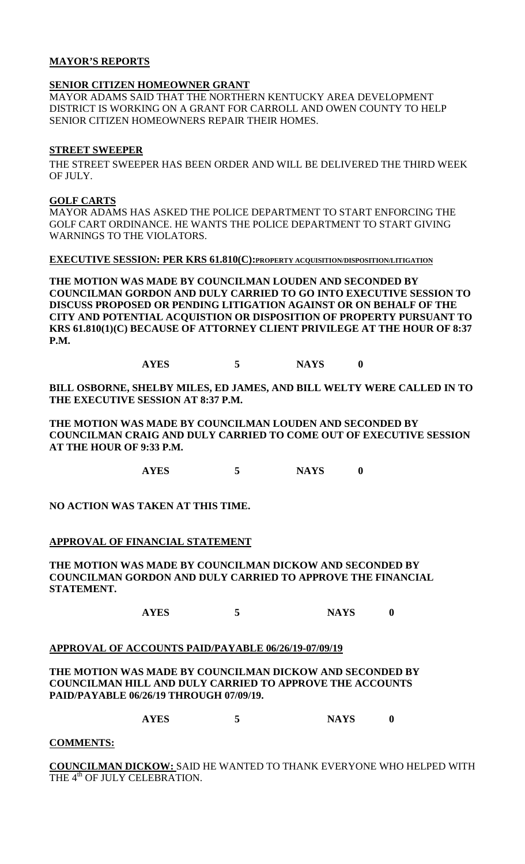# **MAYOR'S REPORTS**

# **SENIOR CITIZEN HOMEOWNER GRANT**

MAYOR ADAMS SAID THAT THE NORTHERN KENTUCKY AREA DEVELOPMENT DISTRICT IS WORKING ON A GRANT FOR CARROLL AND OWEN COUNTY TO HELP SENIOR CITIZEN HOMEOWNERS REPAIR THEIR HOMES.

# **STREET SWEEPER**

THE STREET SWEEPER HAS BEEN ORDER AND WILL BE DELIVERED THE THIRD WEEK OF **HILY** 

# **GOLF CARTS**

MAYOR ADAMS HAS ASKED THE POLICE DEPARTMENT TO START ENFORCING THE GOLF CART ORDINANCE. HE WANTS THE POLICE DEPARTMENT TO START GIVING WARNINGS TO THE VIOLATORS.

**EXECUTIVE SESSION: PER KRS 61.810(C):PROPERTY ACQUISITION/DISPOSITION/LITIGATION**

**THE MOTION WAS MADE BY COUNCILMAN LOUDEN AND SECONDED BY COUNCILMAN GORDON AND DULY CARRIED TO GO INTO EXECUTIVE SESSION TO DISCUSS PROPOSED OR PENDING LITIGATION AGAINST OR ON BEHALF OF THE CITY AND POTENTIAL ACQUISTION OR DISPOSITION OF PROPERTY PURSUANT TO KRS 61.810(1)(C) BECAUSE OF ATTORNEY CLIENT PRIVILEGE AT THE HOUR OF 8:37 P.M.**

**AYES 5 NAYS 0**

**BILL OSBORNE, SHELBY MILES, ED JAMES, AND BILL WELTY WERE CALLED IN TO THE EXECUTIVE SESSION AT 8:37 P.M.**

**THE MOTION WAS MADE BY COUNCILMAN LOUDEN AND SECONDED BY COUNCILMAN CRAIG AND DULY CARRIED TO COME OUT OF EXECUTIVE SESSION AT THE HOUR OF 9:33 P.M.**

**AYES 5 NAYS 0**

**NO ACTION WAS TAKEN AT THIS TIME.**

# **APPROVAL OF FINANCIAL STATEMENT**

**THE MOTION WAS MADE BY COUNCILMAN DICKOW AND SECONDED BY COUNCILMAN GORDON AND DULY CARRIED TO APPROVE THE FINANCIAL STATEMENT.**

**AYES 5 NAYS 0**

# **APPROVAL OF ACCOUNTS PAID/PAYABLE 06/26/19-07/09/19**

**THE MOTION WAS MADE BY COUNCILMAN DICKOW AND SECONDED BY COUNCILMAN HILL AND DULY CARRIED TO APPROVE THE ACCOUNTS PAID/PAYABLE 06/26/19 THROUGH 07/09/19.**

**AYES 5 NAYS 0**

# **COMMENTS:**

**COUNCILMAN DICKOW:** SAID HE WANTED TO THANK EVERYONE WHO HELPED WITH THE 4<sup>th</sup> OF JULY CELEBRATION.